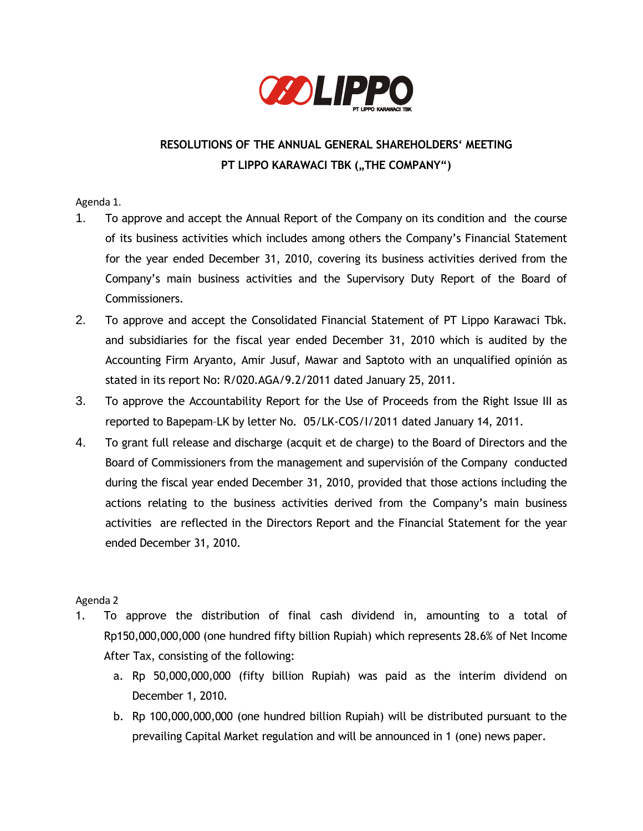

# **RESOLUTIONS OF THE ANNUAL GENERAL SHAREHOLDERS' MEETING PT LIPPO KARAWACI TBK ("THE COMPANY")**

Agenda 1.

- 1. To approve and accept the Annual Report of the Company on its condition and the course of its business activities which includes among others the Company's Financial Statement for the year ended December 31, 2010, covering its business activities derived from the Company's main business activities and the Supervisory Duty Report of the Board of Commissioners.
- 2. To approve and accept the Consolidated Financial Statement of PT Lippo Karawaci Tbk. and subsidiaries for the fiscal year ended December 31, 2010 which is audited by the Accounting Firm Aryanto, Amir Jusuf, Mawar and Saptoto with an unqualified opinión as stated in its report No: R/020.AGA/9.2/2011 dated January 25, 2011.
- 3. To approve the Accountability Report for the Use of Proceeds from the Right Issue III as reported to Bapepam–LK by letter No. 05/LK-COS/I/2011 dated January 14, 2011.
- 4. To grant full release and discharge (acquit et de charge) to the Board of Directors and the Board of Commissioners from the management and supervisión of the Company conducted during the fiscal year ended December 31, 2010, provided that those actions including the actions relating to the business activities derived from the Company's main business activities are reflected in the Directors Report and the Financial Statement for the year ended December 31, 2010.

## Agenda 2

- 1. To approve the distribution of final cash dividend in, amounting to a total of Rp150,000,000,000 (one hundred fifty billion Rupiah) which represents 28.6% of Net Income After Tax, consisting of the following:
	- a. Rp 50,000,000,000 (fifty billion Rupiah) was paid as the interim dividend on December 1, 2010.
	- b. Rp 100,000,000,000 (one hundred billion Rupiah) will be distributed pursuant to the prevailing Capital Market regulation and will be announced in 1 (one) news paper.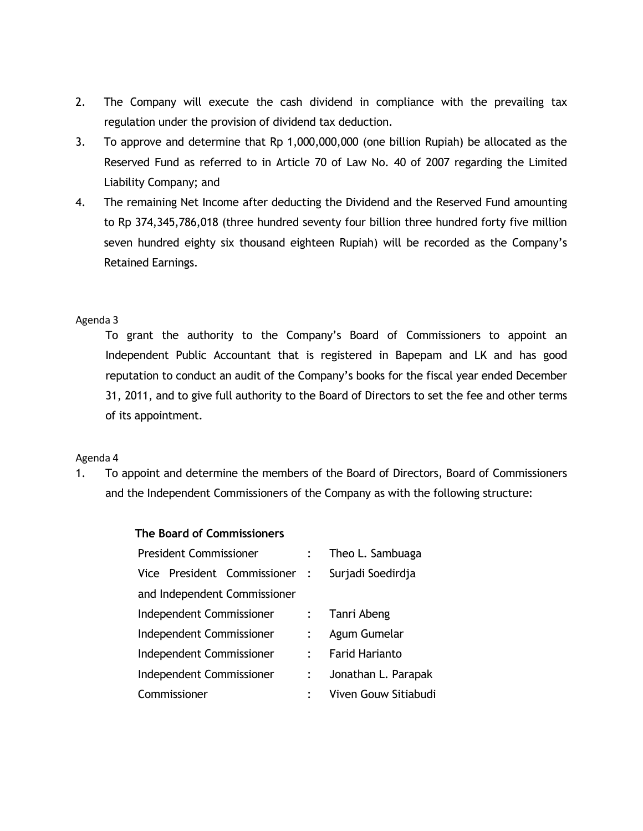- 2. The Company will execute the cash dividend in compliance with the prevailing tax regulation under the provision of dividend tax deduction.
- 3. To approve and determine that Rp 1,000,000,000 (one billion Rupiah) be allocated as the Reserved Fund as referred to in Article 70 of Law No. 40 of 2007 regarding the Limited Liability Company; and
- 4. The remaining Net Income after deducting the Dividend and the Reserved Fund amounting to Rp 374,345,786,018 (three hundred seventy four billion three hundred forty five million seven hundred eighty six thousand eighteen Rupiah) will be recorded as the Company's Retained Earnings.

### Agenda 3

To grant the authority to the Company's Board of Commissioners to appoint an Independent Public Accountant that is registered in Bapepam and LK and has good reputation to conduct an audit of the Company's books for the fiscal year ended December 31, 2011, and to give full authority to the Board of Directors to set the fee and other terms of its appointment.

#### Agenda 4

1. To appoint and determine the members of the Board of Directors, Board of Commissioners and the Independent Commissioners of the Company as with the following structure:

| The Board of Commissioners    |  |                       |  |  |  |  |  |
|-------------------------------|--|-----------------------|--|--|--|--|--|
| <b>President Commissioner</b> |  | Theo L. Sambuaga      |  |  |  |  |  |
| Vice President Commissioner : |  | Surjadi Soedirdja     |  |  |  |  |  |
| and Independent Commissioner  |  |                       |  |  |  |  |  |
| Independent Commissioner      |  | Tanri Abeng           |  |  |  |  |  |
| Independent Commissioner      |  | Agum Gumelar          |  |  |  |  |  |
| Independent Commissioner      |  | <b>Farid Harianto</b> |  |  |  |  |  |
| Independent Commissioner      |  | Jonathan L. Parapak   |  |  |  |  |  |
| Commissioner                  |  | Viven Gouw Sitiabudi  |  |  |  |  |  |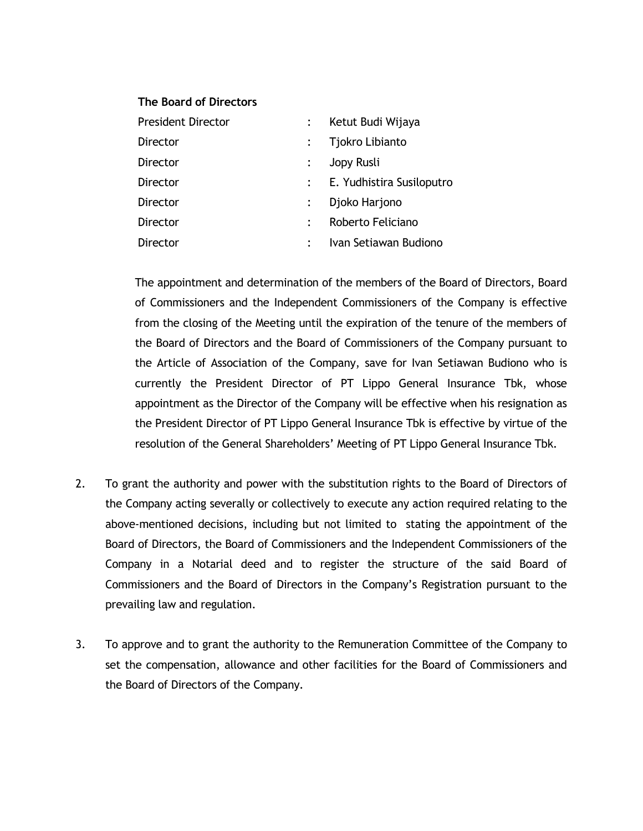### **The Board of Directors**

| <b>President Director</b> | Ketut Budi Wijaya           |  |
|---------------------------|-----------------------------|--|
| Director                  | Tjokro Libianto             |  |
| Director                  | Jopy Rusli                  |  |
| Director                  | : E. Yudhistira Susiloputro |  |
| Director                  | Djoko Harjono               |  |
| Director                  | Roberto Feliciano           |  |
| Director                  | Ivan Setiawan Budiono       |  |

The appointment and determination of the members of the Board of Directors, Board of Commissioners and the Independent Commissioners of the Company is effective from the closing of the Meeting until the expiration of the tenure of the members of the Board of Directors and the Board of Commissioners of the Company pursuant to the Article of Association of the Company, save for Ivan Setiawan Budiono who is currently the President Director of PT Lippo General Insurance Tbk, whose appointment as the Director of the Company will be effective when his resignation as the President Director of PT Lippo General Insurance Tbk is effective by virtue of the resolution of the General Shareholders' Meeting of PT Lippo General Insurance Tbk.

- 2. To grant the authority and power with the substitution rights to the Board of Directors of the Company acting severally or collectively to execute any action required relating to the above-mentioned decisions, including but not limited to stating the appointment of the Board of Directors, the Board of Commissioners and the Independent Commissioners of the Company in a Notarial deed and to register the structure of the said Board of Commissioners and the Board of Directors in the Company's Registration pursuant to the prevailing law and regulation.
- 3. To approve and to grant the authority to the Remuneration Committee of the Company to set the compensation, allowance and other facilities for the Board of Commissioners and the Board of Directors of the Company.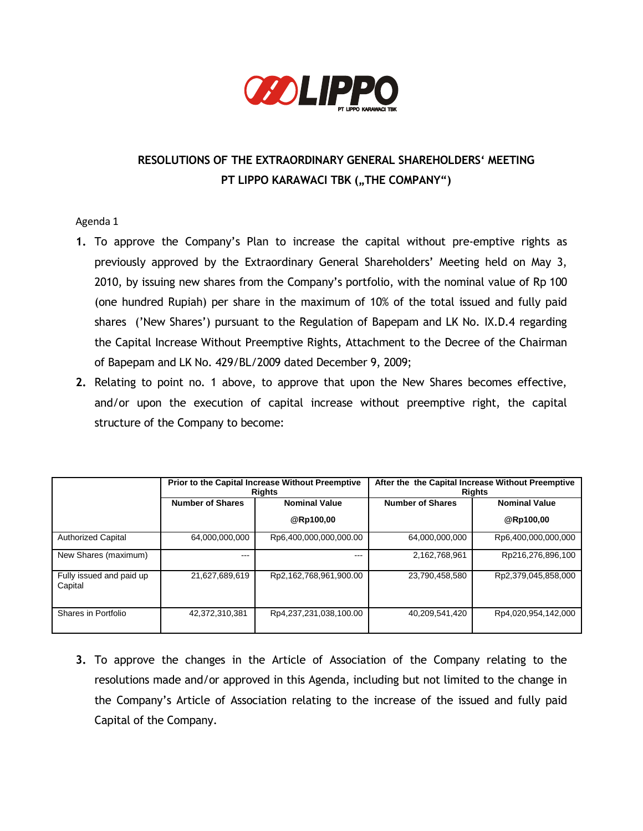

# **RESOLUTIONS OF THE EXTRAORDINARY GENERAL SHAREHOLDERS' MEETING PT LIPPO KARAWACI TBK ("THE COMPANY")**

## Agenda 1

- **1.** To approve the Company's Plan to increase the capital without pre-emptive rights as previously approved by the Extraordinary General Shareholders' Meeting held on May 3, 2010, by issuing new shares from the Company's portfolio, with the nominal value of Rp 100 (one hundred Rupiah) per share in the maximum of 10% of the total issued and fully paid shares ('New Shares') pursuant to the Regulation of Bapepam and LK No. IX.D.4 regarding the Capital Increase Without Preemptive Rights, Attachment to the Decree of the Chairman of Bapepam and LK No. 429/BL/2009 dated December 9, 2009;
- **2.** Relating to point no. 1 above, to approve that upon the New Shares becomes effective, and/or upon the execution of capital increase without preemptive right, the capital structure of the Company to become:

|                                     | Prior to the Capital Increase Without Preemptive<br><b>Rights</b> |                        | After the the Capital Increase Without Preemptive<br>Rights |                      |
|-------------------------------------|-------------------------------------------------------------------|------------------------|-------------------------------------------------------------|----------------------|
|                                     | <b>Number of Shares</b>                                           | <b>Nominal Value</b>   | <b>Number of Shares</b>                                     | <b>Nominal Value</b> |
|                                     |                                                                   | @Rp100,00              |                                                             | @Rp100,00            |
| <b>Authorized Capital</b>           | 64.000.000.000                                                    | Rp6,400,000,000,000.00 | 64.000.000.000                                              | Rp6,400,000,000,000  |
| New Shares (maximum)                | ---                                                               | ---                    | 2,162,768,961                                               | Rp216,276,896,100    |
| Fully issued and paid up<br>Capital | 21,627,689,619                                                    | Rp2,162,768,961,900.00 | 23,790,458,580                                              | Rp2,379,045,858,000  |
| Shares in Portfolio                 | 42.372.310.381                                                    | Rp4,237,231,038,100.00 | 40,209,541,420                                              | Rp4,020,954,142,000  |

**3.** To approve the changes in the Article of Association of the Company relating to the resolutions made and/or approved in this Agenda, including but not limited to the change in the Company's Article of Association relating to the increase of the issued and fully paid Capital of the Company.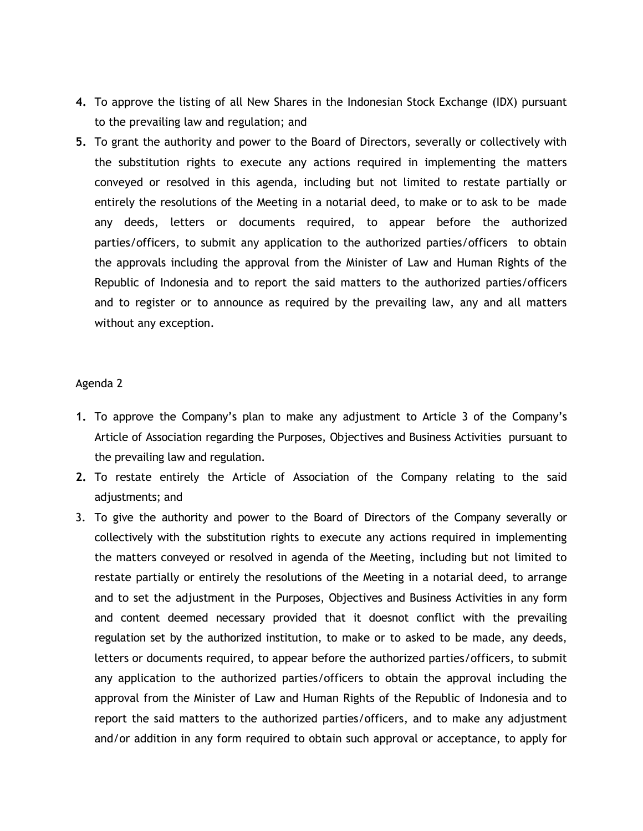- **4.** To approve the listing of all New Shares in the Indonesian Stock Exchange (IDX) pursuant to the prevailing law and regulation; and
- **5.** To grant the authority and power to the Board of Directors, severally or collectively with the substitution rights to execute any actions required in implementing the matters conveyed or resolved in this agenda, including but not limited to restate partially or entirely the resolutions of the Meeting in a notarial deed, to make or to ask to be made any deeds, letters or documents required, to appear before the authorized parties/officers, to submit any application to the authorized parties/officers to obtain the approvals including the approval from the Minister of Law and Human Rights of the Republic of Indonesia and to report the said matters to the authorized parties/officers and to register or to announce as required by the prevailing law, any and all matters without any exception.

#### Agenda 2

- **1.** To approve the Company's plan to make any adjustment to Article 3 of the Company's Article of Association regarding the Purposes, Objectives and Business Activities pursuant to the prevailing law and regulation.
- **2.** To restate entirely the Article of Association of the Company relating to the said adjustments; and
- 3. To give the authority and power to the Board of Directors of the Company severally or collectively with the substitution rights to execute any actions required in implementing the matters conveyed or resolved in agenda of the Meeting, including but not limited to restate partially or entirely the resolutions of the Meeting in a notarial deed, to arrange and to set the adjustment in the Purposes, Objectives and Business Activities in any form and content deemed necessary provided that it doesnot conflict with the prevailing regulation set by the authorized institution, to make or to asked to be made, any deeds, letters or documents required, to appear before the authorized parties/officers, to submit any application to the authorized parties/officers to obtain the approval including the approval from the Minister of Law and Human Rights of the Republic of Indonesia and to report the said matters to the authorized parties/officers, and to make any adjustment and/or addition in any form required to obtain such approval or acceptance, to apply for